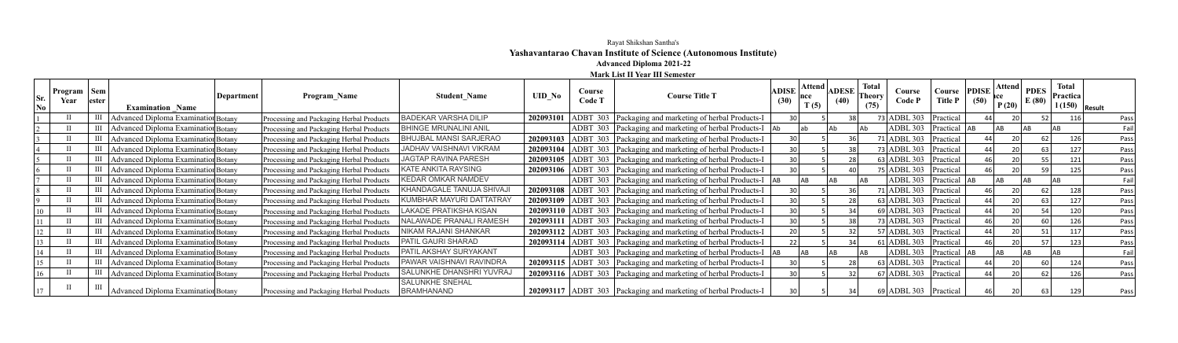## Rayat Shikshan Santha's **Yashavantarao Chavan Institute of Science (Autonomous Institute) Advanced Diploma 2021-22**

## **Mark List II Year III Semester**

| Sr.<br>No | Program   Sem<br>Year | lester             | Department<br><b>Examination Name</b>      | <b>Program Name</b>                      | <b>Student Name</b>                  | <b>UID No</b> | Course<br>Code T | <b>Course Title T</b>                                               | <b>ADISE</b>    | Attend  <br>T(5) | <b>ADESE</b><br>(40) | <b>Total</b><br><b>Theory</b><br>(75) | Course<br><b>Code P</b>   | Course<br><b>Title P</b> | <b>PDISE</b><br>(50) | Attend<br>P(20) | <b>PDES</b><br>E(80) | <b>Total</b><br><b>Practica</b><br>$\vert$ 1 (150) $\vert$ Result |      |
|-----------|-----------------------|--------------------|--------------------------------------------|------------------------------------------|--------------------------------------|---------------|------------------|---------------------------------------------------------------------|-----------------|------------------|----------------------|---------------------------------------|---------------------------|--------------------------|----------------------|-----------------|----------------------|-------------------------------------------------------------------|------|
|           |                       | $\mathop{\rm III}$ | <b>Advanced Diploma Examination Botany</b> | Processing and Packaging Herbal Products | <b>BADEKAR VARSHA DILIP</b>          | 202093101     |                  | ADBT 303 Packaging and marketing of herbal Products-I               |                 |                  | 38                   |                                       | 73 ADBL 303               | Practical                |                      |                 |                      | 116                                                               | Pass |
|           |                       | Ш                  | Advanced Diploma Examination Botany        | Processing and Packaging Herbal Products | <b>BHINGE MRUNALINI ANIL</b>         |               |                  | ADBT 303 Packaging and marketing of herbal Products-I Ab            |                 |                  |                      |                                       | $ADBL 303$ Practical $AB$ |                          |                      | A <sub>R</sub>  |                      |                                                                   | Fail |
|           |                       | $\mathop{\rm III}$ | Advanced Diploma Examination Botany        | Processing and Packaging Herbal Products | <b>BHUJBAL MANSI SARJERAO</b>        |               |                  | 202093103   ADBT 303   Packaging and marketing of herbal Products-I |                 |                  |                      |                                       | 71 ADBL 303 Practical     |                          |                      |                 |                      | 126                                                               | Pass |
|           |                       | Ш                  | Advanced Diploma Examination Botany        | Processing and Packaging Herbal Products | JADHAV VAISHNAVI VIKRAM              |               |                  | 202093104 ADBT 303 Packaging and marketing of herbal Products-I     | 30 <sup>1</sup> |                  | 38                   |                                       | 73 ADBL $303$ Practical   |                          |                      |                 |                      | 127                                                               | Pass |
|           |                       | III                | Advanced Diploma Examination Botany        | Processing and Packaging Herbal Products | <b>JAGTAP RAVINA PARESH</b>          |               |                  | 202093105   ADBT 303   Packaging and marketing of herbal Products-I | 30              |                  |                      |                                       | $63$ ADBL 303 Practical   |                          |                      |                 |                      | 121                                                               | Pass |
|           |                       |                    | Advanced Diploma Examination Botany        | Processing and Packaging Herbal Products | <b>KATE ANKITA RAYSING</b>           |               |                  | 202093106 ADBT 303 Packaging and marketing of herbal Products-I     |                 |                  | 40                   |                                       | $75$ ADBL 303   Practical |                          |                      |                 |                      | 125                                                               | Pass |
|           |                       |                    | III   Advanced Diploma Examination Botany  | Processing and Packaging Herbal Products | <b>KEDAR OMKAR NAMDEV</b>            |               |                  | ADBT 303 Packaging and marketing of herbal Products-I   AB          |                 | <b>AB</b>        |                      |                                       | ADBL 303 Practical        |                          | <b>IAB</b>           | <b>AR</b>       |                      |                                                                   | Fail |
|           |                       | Ш                  | Advanced Diploma Examination Botany        | Processing and Packaging Herbal Products | KHANDAGALE TANUJA SHIVAJ             |               |                  | 202093108 ADBT 303 Packaging and marketing of herbal Products-I     |                 |                  | 36                   |                                       | $71$ ADBL 303   Practical |                          |                      |                 |                      | 128                                                               | Pass |
|           |                       | III                | Advanced Diploma Examination Botany        | Processing and Packaging Herbal Products | KUMBHAR MAYURI DATTATRAY             |               |                  | 202093109 ADBT 303 Packaging and marketing of herbal Products-I     | 30              |                  |                      |                                       | 63 ADBL 303   Practical   |                          |                      |                 |                      | 127                                                               | Pass |
|           |                       | III                | Advanced Diploma Examination Botany        | Processing and Packaging Herbal Products | LAKADE PRATIKSHA KISAN               |               |                  | 202093110 ADBT 303 Packaging and marketing of herbal Products-I     |                 |                  |                      |                                       | $69$ ADBL 303             | Practical                |                      |                 |                      | 120                                                               | Pass |
|           |                       |                    | III   Advanced Diploma Examination Botany  | Processing and Packaging Herbal Products | NALAWADE PRANALI RAMESH              |               |                  | 202093111   ADBT 303   Packaging and marketing of herbal Products-I |                 |                  |                      |                                       | 73 ADBL 303 $ Practical$  |                          |                      |                 |                      |                                                                   | Pass |
|           |                       | Ш                  | Advanced Diploma Examination Botany        | Processing and Packaging Herbal Products | NIKAM RAJANI SHANKAR                 |               |                  | 202093112 ADBT 303 Packaging and marketing of herbal Products-I     |                 |                  |                      |                                       | 57 ADBL 303               | Practical                |                      |                 |                      | 117                                                               | Pass |
|           |                       | Ш                  | Advanced Diploma Examination Botany        | Processing and Packaging Herbal Products | <b>PATIL GAURI SHARAD</b>            |               |                  | 202093114 ADBT 303 Packaging and marketing of herbal Products-I     | 22              |                  | 34                   |                                       | 61 ADBL 303 Practical     |                          |                      |                 |                      | 123                                                               | Pass |
|           |                       | Ш                  | Advanced Diploma Examination Botany        | Processing and Packaging Herbal Products | <b>PATIL AKSHAY SURYAKANT</b>        |               |                  | ADBT 303 Packaging and marketing of herbal Products-I   AB          |                 | AB.              |                      | I AB                                  | $ADBL$ 303                | Practical AB             |                      | <b>AB</b>       |                      |                                                                   | Fail |
|           |                       | Ш                  | Advanced Diploma Examination Botany        | Processing and Packaging Herbal Products | <b>PAWAR VAISHNAVI RAVINDRA</b>      |               |                  | 202093115 ADBT 303 Packaging and marketing of herbal Products-I     |                 |                  | 28                   |                                       | $63$ ADBL 303   Practical |                          |                      |                 |                      | 124                                                               | Pass |
|           |                       |                    | Advanced Diploma Examination Botany        | Processing and Packaging Herbal Products | SALUNKHE DHANSHRI YUVRAJ             |               |                  | 202093116 ADBT 303 Packaging and marketing of herbal Products-I     |                 |                  | 32                   |                                       | 67 ADBL 303   Practical   |                          |                      |                 |                      | 126                                                               | Pass |
|           |                       |                    | Advanced Diploma Examination Botany        | Processing and Packaging Herbal Products | <b>SALUNKHE SNEHAL</b><br>BRAMHANAND |               |                  | 202093117   ADBT 303   Packaging and marketing of herbal Products-I |                 |                  |                      |                                       | $69$ ADBL 303   Practical |                          |                      |                 |                      | 129                                                               | Pass |